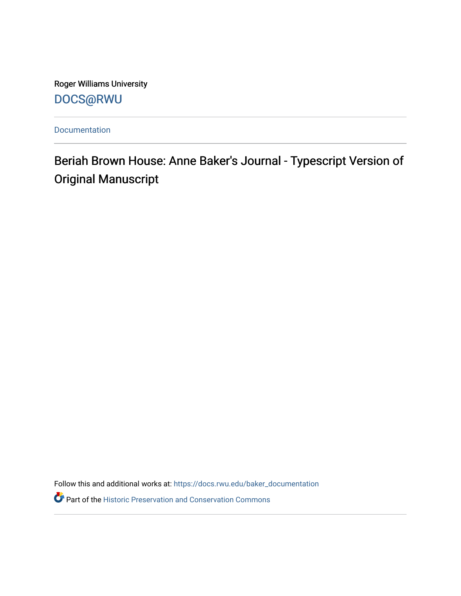Roger Williams University [DOCS@RWU](https://docs.rwu.edu/)

[Documentation](https://docs.rwu.edu/baker_documentation) 

Beriah Brown House: Anne Baker's Journal - Typescript Version of Original Manuscript

Follow this and additional works at: [https://docs.rwu.edu/baker\\_documentation](https://docs.rwu.edu/baker_documentation?utm_source=docs.rwu.edu%2Fbaker_documentation%2F112&utm_medium=PDF&utm_campaign=PDFCoverPages) 

Part of the [Historic Preservation and Conservation Commons](http://network.bepress.com/hgg/discipline/781?utm_source=docs.rwu.edu%2Fbaker_documentation%2F112&utm_medium=PDF&utm_campaign=PDFCoverPages)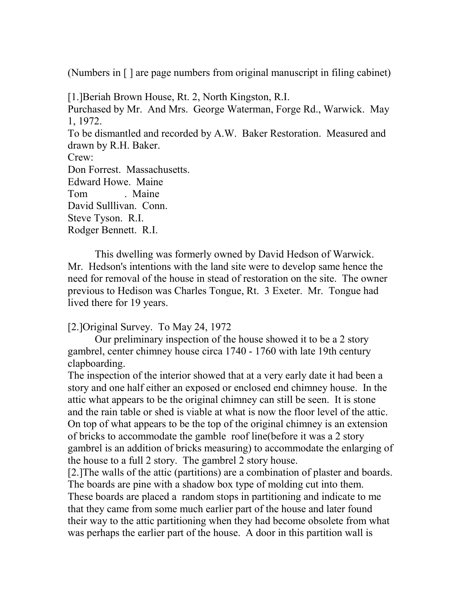(Numbers in [ ] are page numbers from original manuscript in filing cabinet)

[1.]Beriah Brown House, Rt. 2, North Kingston, R.I. Purchased by Mr. And Mrs. George Waterman, Forge Rd., Warwick. May 1, 1972. To be dismantled and recorded by A.W. Baker Restoration. Measured and drawn by R.H. Baker. Crew: Don Forrest. Massachusetts. Edward Howe. Maine Tom . Maine David Sulllivan. Conn. Steve Tyson. R.I. Rodger Bennett. R.I.

This dwelling was formerly owned by David Hedson of Warwick. Mr. Hedson's intentions with the land site were to develop same hence the need for removal of the house in stead of restoration on the site. The owner previous to Hedison was Charles Tongue, Rt. 3 Exeter. Mr. Tongue had lived there for 19 years.

[2.]Original Survey. To May 24, 1972

Our preliminary inspection of the house showed it to be a 2 story gambrel, center chimney house circa 1740 - 1760 with late 19th century clapboarding.

The inspection of the interior showed that at a very early date it had been a story and one half either an exposed or enclosed end chimney house. In the attic what appears to be the original chimney can still be seen. It is stone and the rain table or shed is viable at what is now the floor level of the attic. On top of what appears to be the top of the original chimney is an extension of bricks to accommodate the gamble roof line(before it was a 2 story gambrel is an addition of bricks measuring) to accommodate the enlarging of the house to a full 2 story. The gambrel 2 story house.

[2.]The walls of the attic (partitions) are a combination of plaster and boards. The boards are pine with a shadow box type of molding cut into them. These boards are placed a random stops in partitioning and indicate to me that they came from some much earlier part of the house and later found their way to the attic partitioning when they had become obsolete from what was perhaps the earlier part of the house. A door in this partition wall is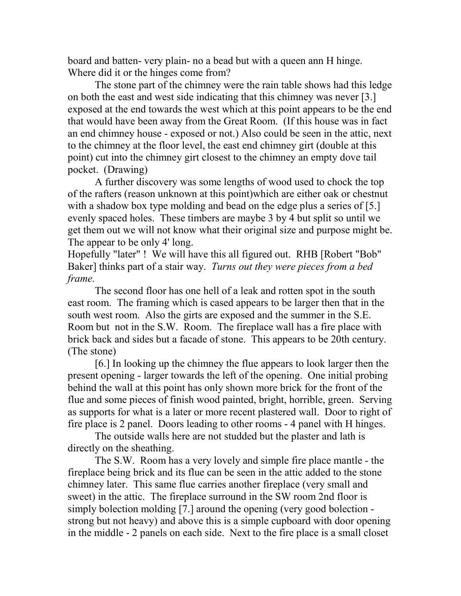board and batten- very plain- no a bead but with a queen ann H hinge. Where did it or the hinges come from?

The stone part of the chimney were the rain table shows had this ledge on both the east and west side indicating that this chimney was never [3.] exposed at the end towards the west which at this point appears to be the end that would have been away from the Great Room. (If this house was in fact an end chimney house - exposed or not.) Also could be seen in the attic, next to the chimney at the floor level, the east end chimney girt (double at this point) cut into the chimney girt closest to the chimney an empty dove tail pocket. (Drawing)

A further discovery was some lengths of wood used to chock the top of the rafters (reason unknown at this point)which are either oak or chestnut with a shadow box type molding and bead on the edge plus a series of [5.] evenly spaced holes. These timbers are maybe 3 by 4 but split so until we get them out we will not know what their original size and purpose might be. The appear to be only 4' long.

Hopefully "later" ! We will have this all figured out. RHB [Robert "Bob" Baker] thinks part of a stair way. *Turns out they were pieces from a bed frame.*

The second floor has one hell of a leak and rotten spot in the south east room. The framing which is cased appears to be larger then that in the south west room. Also the girts are exposed and the summer in the S.E. Room but not in the S.W. Room. The fireplace wall has a fire place with brick back and sides but a facade of stone. This appears to be 20th century. (The stone)

[6.] In looking up the chimney the flue appears to look larger then the present opening - larger towards the left of the opening. One initial probing behind the wall at this point has only shown more brick for the front of the flue and some pieces of finish wood painted, bright, horrible, green. Serving as supports for what is a later or more recent plastered wall. Door to right of fire place is 2 panel. Doors leading to other rooms - 4 panel with H hinges.

The outside walls here are not studded but the plaster and lath is directly on the sheathing.

The S.W. Room has a very lovely and simple fire place mantle - the fireplace being brick and its flue can be seen in the attic added to the stone chimney later. This same flue carries another fireplace (very small and sweet) in the attic. The fireplace surround in the SW room 2nd floor is simply bolection molding [7.] around the opening (very good bolection strong but not heavy) and above this is a simple cupboard with door opening in the middle - 2 panels on each side. Next to the fire place is a small closet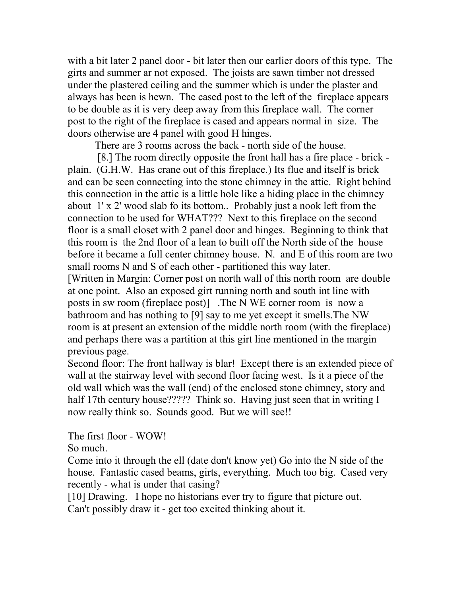with a bit later 2 panel door - bit later then our earlier doors of this type. The girts and summer ar not exposed. The joists are sawn timber not dressed under the plastered ceiling and the summer which is under the plaster and always has been is hewn. The cased post to the left of the fireplace appears to be double as it is very deep away from this fireplace wall. The corner post to the right of the fireplace is cased and appears normal in size. The doors otherwise are 4 panel with good H hinges.

There are 3 rooms across the back - north side of the house.

[8.] The room directly opposite the front hall has a fire place - brick plain. (G.H.W. Has crane out of this fireplace.) Its flue and itself is brick and can be seen connecting into the stone chimney in the attic. Right behind this connection in the attic is a little hole like a hiding place in the chimney about 1' x 2' wood slab fo its bottom.. Probably just a nook left from the connection to be used for WHAT??? Next to this fireplace on the second floor is a small closet with 2 panel door and hinges. Beginning to think that this room is the 2nd floor of a lean to built off the North side of the house before it became a full center chimney house. N. and E of this room are two small rooms N and S of each other - partitioned this way later. [Written in Margin: Corner post on north wall of this north room are double

at one point. Also an exposed girt running north and south int line with posts in sw room (fireplace post)] .The N WE corner room is now a bathroom and has nothing to [9] say to me yet except it smells.The NW room is at present an extension of the middle north room (with the fireplace) and perhaps there was a partition at this girt line mentioned in the margin previous page.

Second floor: The front hallway is blar! Except there is an extended piece of wall at the stairway level with second floor facing west. Is it a piece of the old wall which was the wall (end) of the enclosed stone chimney, story and half 17th century house????? Think so. Having just seen that in writing I now really think so. Sounds good. But we will see!!

The first floor - WOW!

So much.

Come into it through the ell (date don't know yet) Go into the N side of the house. Fantastic cased beams, girts, everything. Much too big. Cased very recently - what is under that casing?

[10] Drawing. I hope no historians ever try to figure that picture out. Can't possibly draw it - get too excited thinking about it.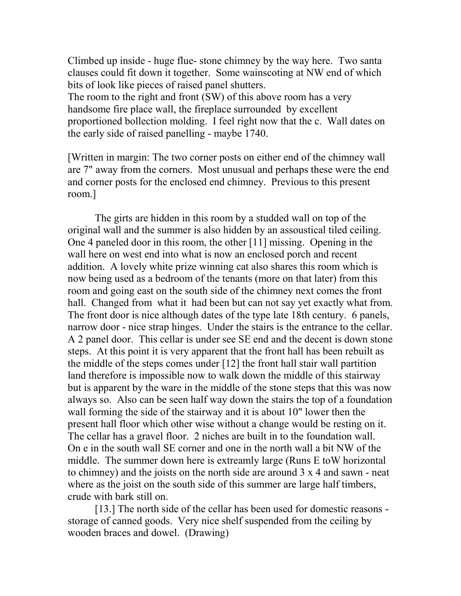Climbed up inside - huge flue- stone chimney by the way here. Two santa clauses could fit down it together. Some wainscoting at NW end of which bits of look like pieces of raised panel shutters. The room to the right and front (SW) of this above room has a very handsome fire place wall, the fireplace surrounded by excellent proportioned bollection molding. I feel right now that the c. Wall dates on

the early side of raised panelling - maybe 1740.

[Written in margin: The two corner posts on either end of the chimney wall are 7" away from the corners. Most unusual and perhaps these were the end and corner posts for the enclosed end chimney. Previous to this present room.]

The girts are hidden in this room by a studded wall on top of the original wall and the summer is also hidden by an assoustical tiled ceiling. One 4 paneled door in this room, the other [11] missing. Opening in the wall here on west end into what is now an enclosed porch and recent addition. A lovely white prize winning cat also shares this room which is now being used as a bedroom of the tenants (more on that later) from this room and going east on the south side of the chimney next comes the front hall. Changed from what it had been but can not say yet exactly what from. The front door is nice although dates of the type late 18th century. 6 panels, narrow door - nice strap hinges. Under the stairs is the entrance to the cellar. A 2 panel door. This cellar is under see SE end and the decent is down stone steps. At this point it is very apparent that the front hall has been rebuilt as the middle of the steps comes under [12] the front hall stair wall partition land therefore is impossible now to walk down the middle of this stairway but is apparent by the ware in the middle of the stone steps that this was now always so. Also can be seen half way down the stairs the top of a foundation wall forming the side of the stairway and it is about 10" lower then the present hall floor which other wise without a change would be resting on it. The cellar has a gravel floor. 2 niches are built in to the foundation wall. On e in the south wall SE corner and one in the north wall a bit NW of the middle. The summer down here is extreamly large (Runs E toW horizontal to chimney) and the joists on the north side are around 3 x 4 and sawn - neat where as the joist on the south side of this summer are large half timbers, crude with bark still on.

[13.] The north side of the cellar has been used for domestic reasons storage of canned goods. Very nice shelf suspended from the ceiling by wooden braces and dowel. (Drawing)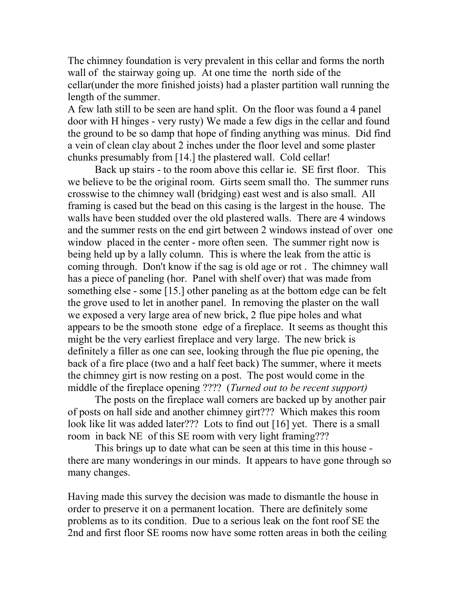The chimney foundation is very prevalent in this cellar and forms the north wall of the stairway going up. At one time the north side of the cellar(under the more finished joists) had a plaster partition wall running the length of the summer.

A few lath still to be seen are hand split. On the floor was found a 4 panel door with H hinges - very rusty) We made a few digs in the cellar and found the ground to be so damp that hope of finding anything was minus. Did find a vein of clean clay about 2 inches under the floor level and some plaster chunks presumably from [14.] the plastered wall. Cold cellar!

Back up stairs - to the room above this cellar ie. SE first floor. This we believe to be the original room. Girts seem small tho. The summer runs crosswise to the chimney wall (bridging) east west and is also small. All framing is cased but the bead on this casing is the largest in the house. The walls have been studded over the old plastered walls. There are 4 windows and the summer rests on the end girt between 2 windows instead of over one window placed in the center - more often seen. The summer right now is being held up by a lally column. This is where the leak from the attic is coming through. Don't know if the sag is old age or rot . The chimney wall has a piece of paneling (hor. Panel with shelf over) that was made from something else - some [15.] other paneling as at the bottom edge can be felt the grove used to let in another panel. In removing the plaster on the wall we exposed a very large area of new brick, 2 flue pipe holes and what appears to be the smooth stone edge of a fireplace. It seems as thought this might be the very earliest fireplace and very large. The new brick is definitely a filler as one can see, looking through the flue pie opening, the back of a fire place (two and a half feet back) The summer, where it meets the chimney girt is now resting on a post. The post would come in the middle of the fireplace opening ???? (*Turned out to be recent support)* 

The posts on the fireplace wall corners are backed up by another pair of posts on hall side and another chimney girt??? Which makes this room look like lit was added later??? Lots to find out [16] yet. There is a small room in back NE of this SE room with very light framing???

This brings up to date what can be seen at this time in this house there are many wonderings in our minds. It appears to have gone through so many changes.

Having made this survey the decision was made to dismantle the house in order to preserve it on a permanent location. There are definitely some problems as to its condition. Due to a serious leak on the font roof SE the 2nd and first floor SE rooms now have some rotten areas in both the ceiling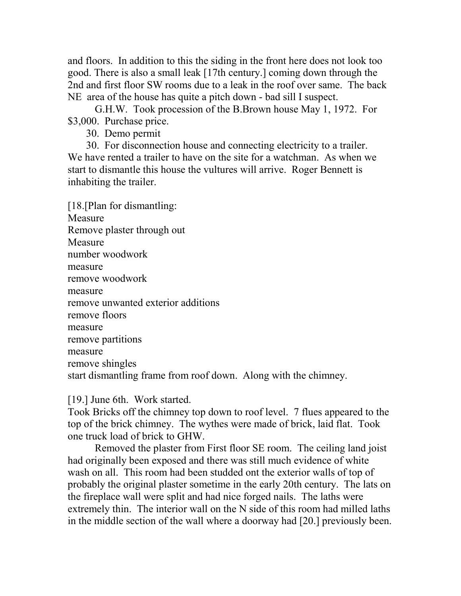and floors. In addition to this the siding in the front here does not look too good. There is also a small leak [17th century.] coming down through the 2nd and first floor SW rooms due to a leak in the roof over same. The back NE area of the house has quite a pitch down - bad sill I suspect.

G.H.W. Took procession of the B.Brown house May 1, 1972. For \$3,000. Purchase price.

30. Demo permit

 30. For disconnection house and connecting electricity to a trailer. We have rented a trailer to have on the site for a watchman. As when we start to dismantle this house the vultures will arrive. Roger Bennett is inhabiting the trailer.

[18.[Plan for dismantling: Measure Remove plaster through out Measure number woodwork measure remove woodwork measure remove unwanted exterior additions remove floors measure remove partitions measure remove shingles start dismantling frame from roof down. Along with the chimney.

[19.] June 6th. Work started.

Took Bricks off the chimney top down to roof level. 7 flues appeared to the top of the brick chimney. The wythes were made of brick, laid flat. Took one truck load of brick to GHW.

Removed the plaster from First floor SE room. The ceiling land joist had originally been exposed and there was still much evidence of white wash on all. This room had been studded ont the exterior walls of top of probably the original plaster sometime in the early 20th century. The lats on the fireplace wall were split and had nice forged nails. The laths were extremely thin. The interior wall on the N side of this room had milled laths in the middle section of the wall where a doorway had [20.] previously been.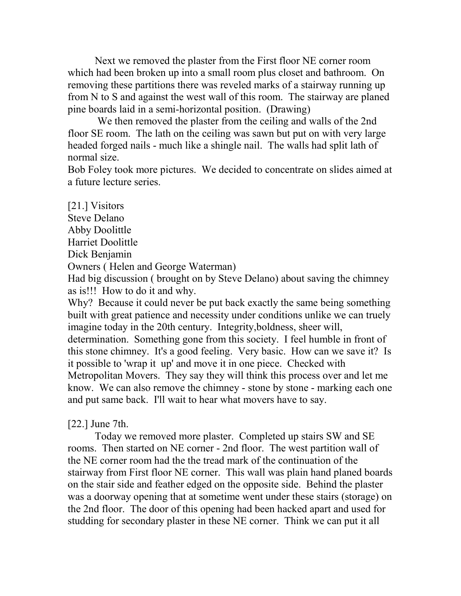Next we removed the plaster from the First floor NE corner room which had been broken up into a small room plus closet and bathroom. On removing these partitions there was reveled marks of a stairway running up from N to S and against the west wall of this room. The stairway are planed pine boards laid in a semi-horizontal position. (Drawing)

We then removed the plaster from the ceiling and walls of the 2nd floor SE room. The lath on the ceiling was sawn but put on with very large headed forged nails - much like a shingle nail. The walls had split lath of normal size.

Bob Foley took more pictures. We decided to concentrate on slides aimed at a future lecture series.

[21.] Visitors Steve Delano Abby Doolittle Harriet Doolittle Dick Benjamin Owners ( Helen and George Waterman) Had big discussion ( brought on by Steve Delano) about saving the chimney as is!!! How to do it and why. Why? Because it could never be put back exactly the same being something

built with great patience and necessity under conditions unlike we can truely imagine today in the 20th century. Integrity,boldness, sheer will, determination. Something gone from this society. I feel humble in front of this stone chimney. It's a good feeling. Very basic. How can we save it? Is it possible to 'wrap it up' and move it in one piece. Checked with Metropolitan Movers. They say they will think this process over and let me know. We can also remove the chimney - stone by stone - marking each one and put same back. I'll wait to hear what movers have to say.

[22.] June 7th.

Today we removed more plaster. Completed up stairs SW and SE rooms. Then started on NE corner - 2nd floor. The west partition wall of the NE corner room had the the tread mark of the continuation of the stairway from First floor NE corner. This wall was plain hand planed boards on the stair side and feather edged on the opposite side. Behind the plaster was a doorway opening that at sometime went under these stairs (storage) on the 2nd floor. The door of this opening had been hacked apart and used for studding for secondary plaster in these NE corner. Think we can put it all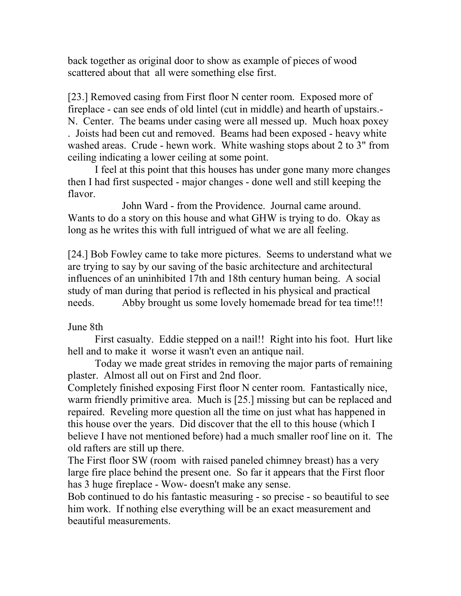back together as original door to show as example of pieces of wood scattered about that all were something else first.

[23.] Removed casing from First floor N center room. Exposed more of fireplace - can see ends of old lintel (cut in middle) and hearth of upstairs.- N. Center. The beams under casing were all messed up. Much hoax poxey . Joists had been cut and removed. Beams had been exposed - heavy white washed areas. Crude - hewn work. White washing stops about 2 to 3" from ceiling indicating a lower ceiling at some point.

I feel at this point that this houses has under gone many more changes then I had first suspected - major changes - done well and still keeping the flavor.

John Ward - from the Providence. Journal came around. Wants to do a story on this house and what GHW is trying to do. Okay as long as he writes this with full intrigued of what we are all feeling.

[24.] Bob Fowley came to take more pictures. Seems to understand what we are trying to say by our saving of the basic architecture and architectural influences of an uninhibited 17th and 18th century human being. A social study of man during that period is reflected in his physical and practical needs. Abby brought us some lovely homemade bread for tea time!!!

# June 8th

First casualty. Eddie stepped on a nail!! Right into his foot. Hurt like hell and to make it worse it wasn't even an antique nail.

Today we made great strides in removing the major parts of remaining plaster. Almost all out on First and 2nd floor.

Completely finished exposing First floor N center room. Fantastically nice, warm friendly primitive area. Much is [25.] missing but can be replaced and repaired. Reveling more question all the time on just what has happened in this house over the years. Did discover that the ell to this house (which I believe I have not mentioned before) had a much smaller roof line on it. The old rafters are still up there.

The First floor SW (room with raised paneled chimney breast) has a very large fire place behind the present one. So far it appears that the First floor has 3 huge fireplace - Wow- doesn't make any sense.

Bob continued to do his fantastic measuring - so precise - so beautiful to see him work. If nothing else everything will be an exact measurement and beautiful measurements.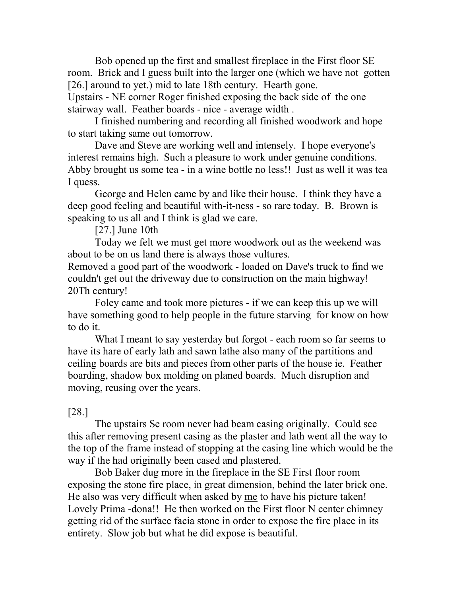Bob opened up the first and smallest fireplace in the First floor SE room. Brick and I guess built into the larger one (which we have not gotten [26.] around to yet.) mid to late 18th century. Hearth gone.

Upstairs - NE corner Roger finished exposing the back side of the one stairway wall. Feather boards - nice - average width .

I finished numbering and recording all finished woodwork and hope to start taking same out tomorrow.

Dave and Steve are working well and intensely. I hope everyone's interest remains high. Such a pleasure to work under genuine conditions. Abby brought us some tea - in a wine bottle no less!! Just as well it was tea I quess.

George and Helen came by and like their house. I think they have a deep good feeling and beautiful with-it-ness - so rare today. B. Brown is speaking to us all and I think is glad we care.

[27.] June 10th

Today we felt we must get more woodwork out as the weekend was about to be on us land there is always those vultures.

Removed a good part of the woodwork - loaded on Dave's truck to find we couldn't get out the driveway due to construction on the main highway! 20Th century!

Foley came and took more pictures - if we can keep this up we will have something good to help people in the future starving for know on how to do it.

What I meant to say yesterday but forgot - each room so far seems to have its hare of early lath and sawn lathe also many of the partitions and ceiling boards are bits and pieces from other parts of the house ie. Feather boarding, shadow box molding on planed boards. Much disruption and moving, reusing over the years.

# [28.]

The upstairs Se room never had beam casing originally. Could see this after removing present casing as the plaster and lath went all the way to the top of the frame instead of stopping at the casing line which would be the way if the had originally been cased and plastered.

Bob Baker dug more in the fireplace in the SE First floor room exposing the stone fire place, in great dimension, behind the later brick one. He also was very difficult when asked by me to have his picture taken! Lovely Prima -dona!! He then worked on the First floor N center chimney getting rid of the surface facia stone in order to expose the fire place in its entirety. Slow job but what he did expose is beautiful.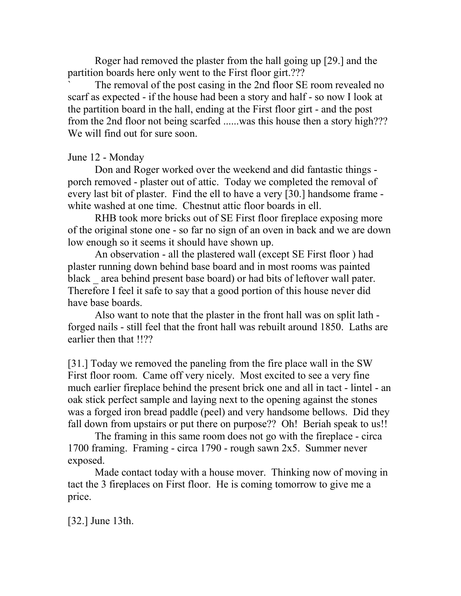Roger had removed the plaster from the hall going up [29.] and the partition boards here only went to the First floor girt.???

The removal of the post casing in the 2nd floor SE room revealed no scarf as expected - if the house had been a story and half - so now I look at the partition board in the hall, ending at the First floor girt - and the post from the 2nd floor not being scarfed ......was this house then a story high??? We will find out for sure soon.

### June 12 - Monday

Don and Roger worked over the weekend and did fantastic things porch removed - plaster out of attic. Today we completed the removal of every last bit of plaster. Find the ell to have a very [30.] handsome frame white washed at one time. Chestnut attic floor boards in ell.

RHB took more bricks out of SE First floor fireplace exposing more of the original stone one - so far no sign of an oven in back and we are down low enough so it seems it should have shown up.

An observation - all the plastered wall (except SE First floor ) had plaster running down behind base board and in most rooms was painted black area behind present base board) or had bits of leftover wall pater. Therefore I feel it safe to say that a good portion of this house never did have base boards.

Also want to note that the plaster in the front hall was on split lath forged nails - still feel that the front hall was rebuilt around 1850. Laths are earlier then that !!??

[31.] Today we removed the paneling from the fire place wall in the SW First floor room. Came off very nicely. Most excited to see a very fine much earlier fireplace behind the present brick one and all in tact - lintel - an oak stick perfect sample and laying next to the opening against the stones was a forged iron bread paddle (peel) and very handsome bellows. Did they fall down from upstairs or put there on purpose?? Oh! Beriah speak to us!!

The framing in this same room does not go with the fireplace - circa 1700 framing. Framing - circa 1790 - rough sawn 2x5. Summer never exposed.

Made contact today with a house mover. Thinking now of moving in tact the 3 fireplaces on First floor. He is coming tomorrow to give me a price.

[32.] June 13th.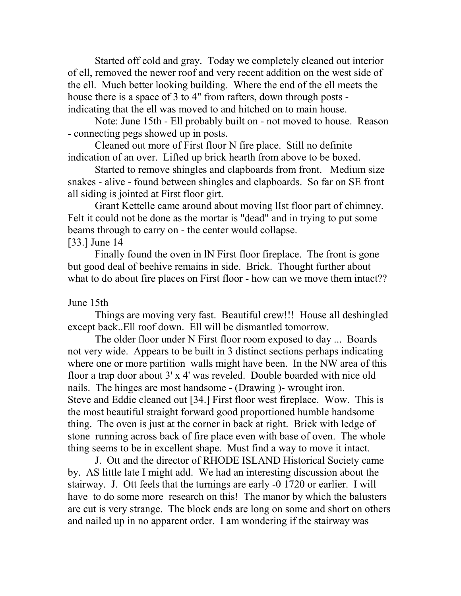Started off cold and gray. Today we completely cleaned out interior of ell, removed the newer roof and very recent addition on the west side of the ell. Much better looking building. Where the end of the ell meets the house there is a space of 3 to 4" from rafters, down through posts indicating that the ell was moved to and hitched on to main house.

Note: June 15th - Ell probably built on - not moved to house. Reason - connecting pegs showed up in posts.

Cleaned out more of First floor N fire place. Still no definite indication of an over. Lifted up brick hearth from above to be boxed.

Started to remove shingles and clapboards from front. Medium size snakes - alive - found between shingles and clapboards. So far on SE front all siding is jointed at First floor girt.

Grant Kettelle came around about moving lIst floor part of chimney. Felt it could not be done as the mortar is "dead" and in trying to put some beams through to carry on - the center would collapse.

#### [33.] June 14

Finally found the oven in lN First floor fireplace. The front is gone but good deal of beehive remains in side. Brick. Thought further about what to do about fire places on First floor - how can we move them intact??

### June 15th

Things are moving very fast. Beautiful crew!!! House all deshingled except back..Ell roof down. Ell will be dismantled tomorrow.

The older floor under N First floor room exposed to day ... Boards not very wide. Appears to be built in 3 distinct sections perhaps indicating where one or more partition walls might have been. In the NW area of this floor a trap door about 3' x 4' was reveled. Double boarded with nice old nails. The hinges are most handsome - (Drawing )- wrought iron. Steve and Eddie cleaned out [34.] First floor west fireplace. Wow. This is the most beautiful straight forward good proportioned humble handsome thing. The oven is just at the corner in back at right. Brick with ledge of stone running across back of fire place even with base of oven. The whole thing seems to be in excellent shape. Must find a way to move it intact.

J. Ott and the director of RHODE ISLAND Historical Society came by. AS little late I might add. We had an interesting discussion about the stairway. J. Ott feels that the turnings are early -0 1720 or earlier. I will have to do some more research on this! The manor by which the balusters are cut is very strange. The block ends are long on some and short on others and nailed up in no apparent order. I am wondering if the stairway was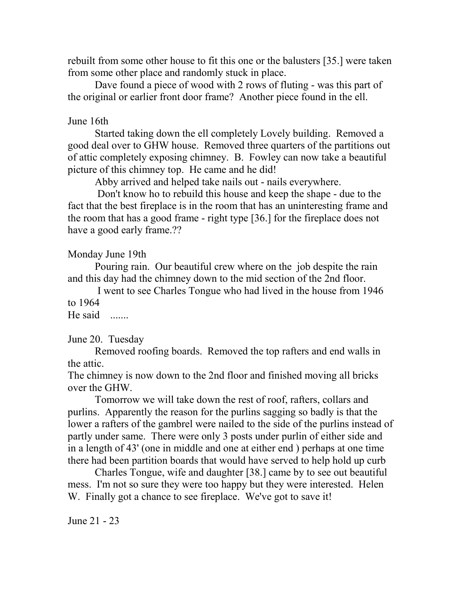rebuilt from some other house to fit this one or the balusters [35.] were taken from some other place and randomly stuck in place.

Dave found a piece of wood with 2 rows of fluting - was this part of the original or earlier front door frame? Another piece found in the ell.

### June 16th

Started taking down the ell completely Lovely building. Removed a good deal over to GHW house. Removed three quarters of the partitions out of attic completely exposing chimney. B. Fowley can now take a beautiful picture of this chimney top. He came and he did!

Abby arrived and helped take nails out - nails everywhere.

Don't know ho to rebuild this house and keep the shape - due to the fact that the best fireplace is in the room that has an uninteresting frame and the room that has a good frame - right type [36.] for the fireplace does not have a good early frame.??

# Monday June 19th

Pouring rain. Our beautiful crew where on the job despite the rain and this day had the chimney down to the mid section of the 2nd floor.

I went to see Charles Tongue who had lived in the house from 1946 to 1964

He said .......

# June 20. Tuesday

Removed roofing boards. Removed the top rafters and end walls in the attic.

The chimney is now down to the 2nd floor and finished moving all bricks over the GHW.

Tomorrow we will take down the rest of roof, rafters, collars and purlins. Apparently the reason for the purlins sagging so badly is that the lower a rafters of the gambrel were nailed to the side of the purlins instead of partly under same. There were only 3 posts under purlin of either side and in a length of 43' (one in middle and one at either end ) perhaps at one time there had been partition boards that would have served to help hold up curb

Charles Tongue, wife and daughter [38.] came by to see out beautiful mess. I'm not so sure they were too happy but they were interested. Helen W. Finally got a chance to see fireplace. We've got to save it!

June 21 - 23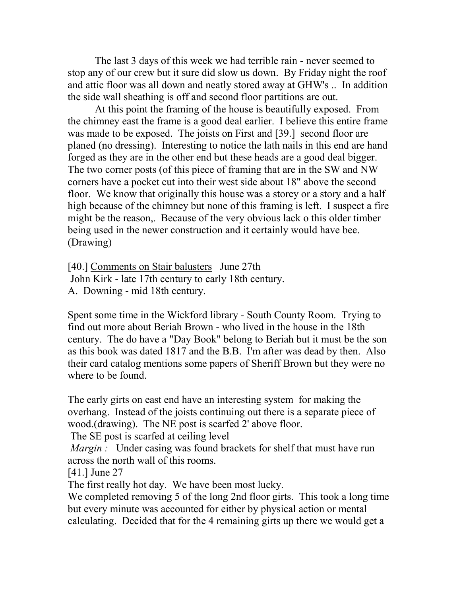The last 3 days of this week we had terrible rain - never seemed to stop any of our crew but it sure did slow us down. By Friday night the roof and attic floor was all down and neatly stored away at GHW's .. In addition the side wall sheathing is off and second floor partitions are out.

At this point the framing of the house is beautifully exposed. From the chimney east the frame is a good deal earlier. I believe this entire frame was made to be exposed. The joists on First and [39.] second floor are planed (no dressing). Interesting to notice the lath nails in this end are hand forged as they are in the other end but these heads are a good deal bigger. The two corner posts (of this piece of framing that are in the SW and NW corners have a pocket cut into their west side about 18" above the second floor. We know that originally this house was a storey or a story and a half high because of the chimney but none of this framing is left. I suspect a fire might be the reason,. Because of the very obvious lack o this older timber being used in the newer construction and it certainly would have bee. (Drawing)

[40.] Comments on Stair balusters June 27th John Kirk - late 17th century to early 18th century. A. Downing - mid 18th century.

Spent some time in the Wickford library - South County Room. Trying to find out more about Beriah Brown - who lived in the house in the 18th century. The do have a "Day Book" belong to Beriah but it must be the son as this book was dated 1817 and the B.B. I'm after was dead by then. Also their card catalog mentions some papers of Sheriff Brown but they were no where to be found.

The early girts on east end have an interesting system for making the overhang. Instead of the joists continuing out there is a separate piece of wood.(drawing). The NE post is scarfed 2' above floor.

The SE post is scarfed at ceiling level

*Margin* : Under casing was found brackets for shelf that must have run across the north wall of this rooms.

[41.] June 27

The first really hot day. We have been most lucky.

We completed removing 5 of the long 2nd floor girts. This took a long time but every minute was accounted for either by physical action or mental calculating. Decided that for the 4 remaining girts up there we would get a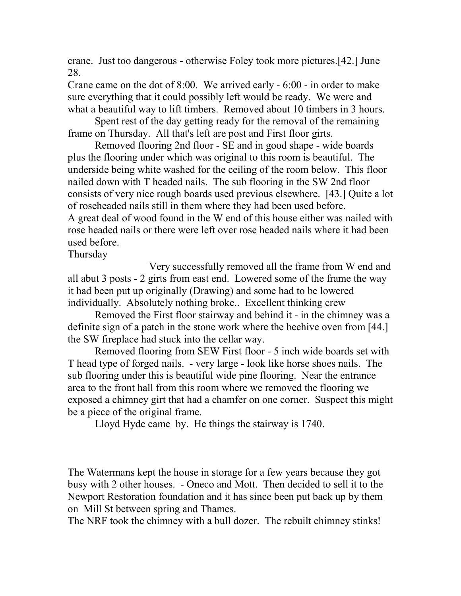crane. Just too dangerous - otherwise Foley took more pictures.[42.] June 28.

Crane came on the dot of 8:00. We arrived early - 6:00 - in order to make sure everything that it could possibly left would be ready. We were and what a beautiful way to lift timbers. Removed about 10 timbers in 3 hours.

Spent rest of the day getting ready for the removal of the remaining frame on Thursday. All that's left are post and First floor girts.

Removed flooring 2nd floor - SE and in good shape - wide boards plus the flooring under which was original to this room is beautiful. The underside being white washed for the ceiling of the room below. This floor nailed down with T headed nails. The sub flooring in the SW 2nd floor consists of very nice rough boards used previous elsewhere. [43.] Quite a lot of roseheaded nails still in them where they had been used before. A great deal of wood found in the W end of this house either was nailed with rose headed nails or there were left over rose headed nails where it had been used before.

Thursday

Very successfully removed all the frame from W end and all abut 3 posts - 2 girts from east end. Lowered some of the frame the way it had been put up originally (Drawing) and some had to be lowered individually. Absolutely nothing broke.. Excellent thinking crew

Removed the First floor stairway and behind it - in the chimney was a definite sign of a patch in the stone work where the beehive oven from [44.] the SW fireplace had stuck into the cellar way.

Removed flooring from SEW First floor - 5 inch wide boards set with T head type of forged nails. - very large - look like horse shoes nails. The sub flooring under this is beautiful wide pine flooring. Near the entrance area to the front hall from this room where we removed the flooring we exposed a chimney girt that had a chamfer on one corner. Suspect this might be a piece of the original frame.

Lloyd Hyde came by. He things the stairway is 1740.

The Watermans kept the house in storage for a few years because they got busy with 2 other houses. - Oneco and Mott. Then decided to sell it to the Newport Restoration foundation and it has since been put back up by them on Mill St between spring and Thames.

The NRF took the chimney with a bull dozer. The rebuilt chimney stinks!